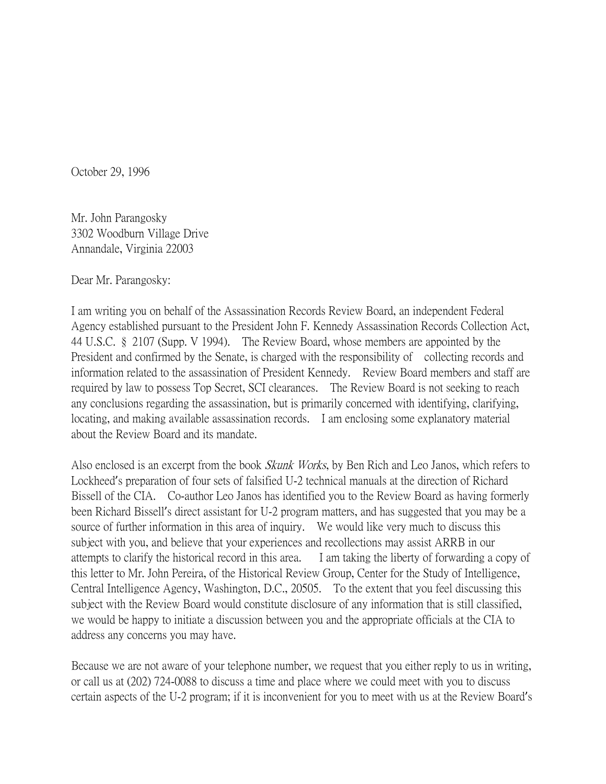October 29, 1996

Mr. John Parangosky 3302 Woodburn Village Drive Annandale, Virginia 22003

Dear Mr. Parangosky:

I am writing you on behalf of the Assassination Records Review Board, an independent Federal Agency established pursuant to the President John F. Kennedy Assassination Records Collection Act, 44 U.S.C. § 2107 (Supp. V 1994). The Review Board, whose members are appointed by the President and confirmed by the Senate, is charged with the responsibility of collecting records and information related to the assassination of President Kennedy. Review Board members and staff are required by law to possess Top Secret, SCI clearances. The Review Board is not seeking to reach any conclusions regarding the assassination, but is primarily concerned with identifying, clarifying, locating, and making available assassination records. I am enclosing some explanatory material about the Review Board and its mandate.

Also enclosed is an excerpt from the book *Skunk Works*, by Ben Rich and Leo Janos, which refers to Lockheed's preparation of four sets of falsified U-2 technical manuals at the direction of Richard Bissell of the CIA. Co-author Leo Janos has identified you to the Review Board as having formerly been Richard Bissell's direct assistant for U-2 program matters, and has suggested that you may be a source of further information in this area of inquiry. We would like very much to discuss this subject with you, and believe that your experiences and recollections may assist ARRB in our attempts to clarify the historical record in this area. I am taking the liberty of forwarding a copy of this letter to Mr. John Pereira, of the Historical Review Group, Center for the Study of Intelligence, Central Intelligence Agency, Washington, D.C., 20505. To the extent that you feel discussing this subject with the Review Board would constitute disclosure of any information that is still classified, we would be happy to initiate a discussion between you and the appropriate officials at the CIA to address any concerns you may have.

Because we are not aware of your telephone number, we request that you either reply to us in writing, or call us at (202) 724-0088 to discuss a time and place where we could meet with you to discuss certain aspects of the U-2 program; if it is inconvenient for you to meet with us at the Review Board's